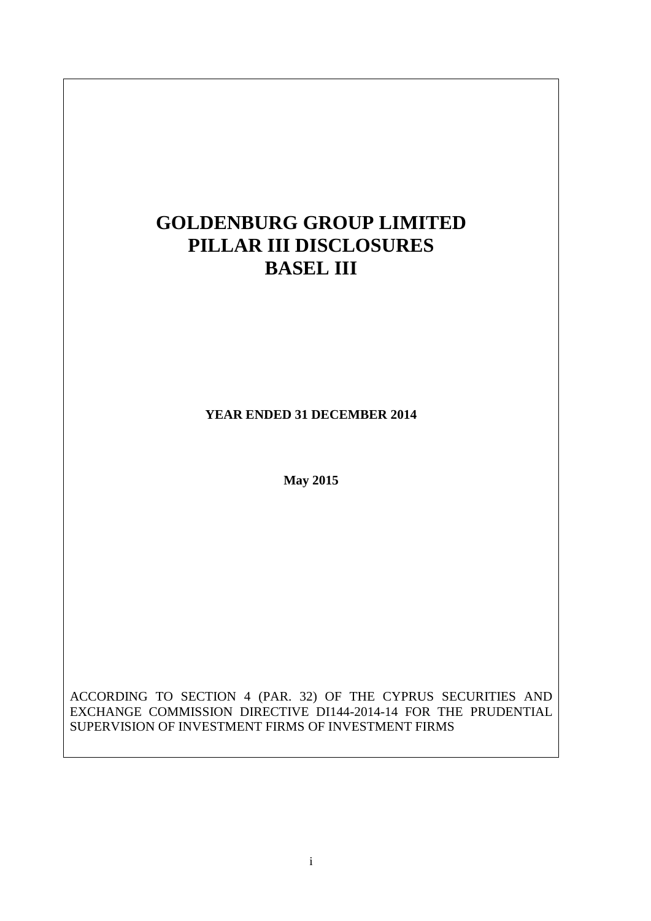# **GOLDENBURG GROUP LIMITED PILLAR III DISCLOSURES BASEL III YEAR ENDED 31 DECEMBER 2014 May 2015**

ACCORDING TO SECTION 4 (PAR. 32) OF THE CYPRUS SECURITIES AND EXCHANGE COMMISSION DIRECTIVE DI144-2014-14 FOR THE PRUDENTIAL SUPERVISION OF INVESTMENT FIRMS OF INVESTMENT FIRMS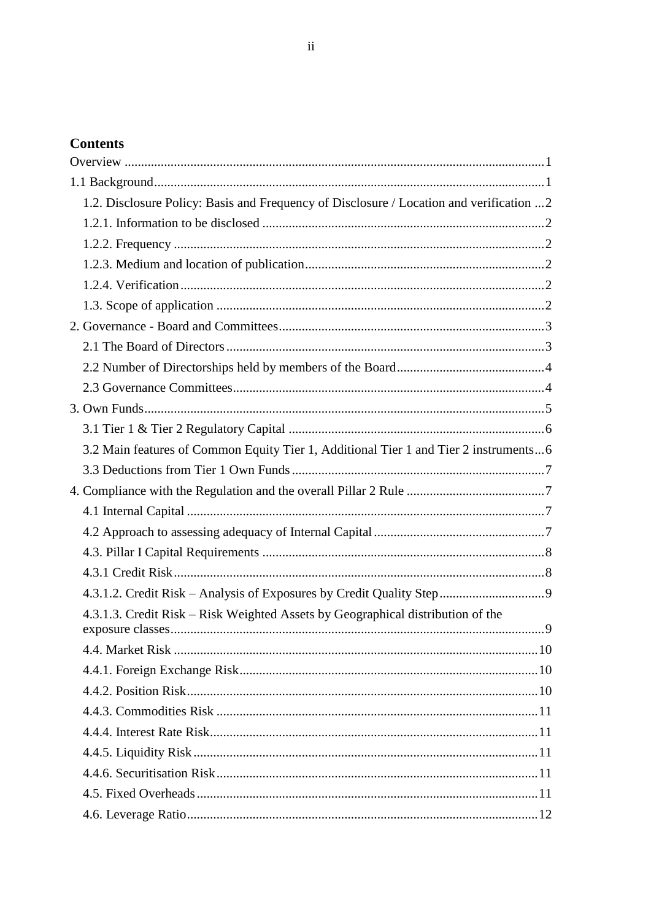# **Contents**

| 1.2. Disclosure Policy: Basis and Frequency of Disclosure / Location and verification  2 |  |
|------------------------------------------------------------------------------------------|--|
|                                                                                          |  |
|                                                                                          |  |
|                                                                                          |  |
|                                                                                          |  |
|                                                                                          |  |
|                                                                                          |  |
|                                                                                          |  |
|                                                                                          |  |
|                                                                                          |  |
|                                                                                          |  |
|                                                                                          |  |
| 3.2 Main features of Common Equity Tier 1, Additional Tier 1 and Tier 2 instruments6     |  |
|                                                                                          |  |
|                                                                                          |  |
|                                                                                          |  |
|                                                                                          |  |
|                                                                                          |  |
|                                                                                          |  |
|                                                                                          |  |
| 4.3.1.3. Credit Risk – Risk Weighted Assets by Geographical distribution of the          |  |
|                                                                                          |  |
|                                                                                          |  |
|                                                                                          |  |
|                                                                                          |  |
|                                                                                          |  |
|                                                                                          |  |
|                                                                                          |  |
|                                                                                          |  |
|                                                                                          |  |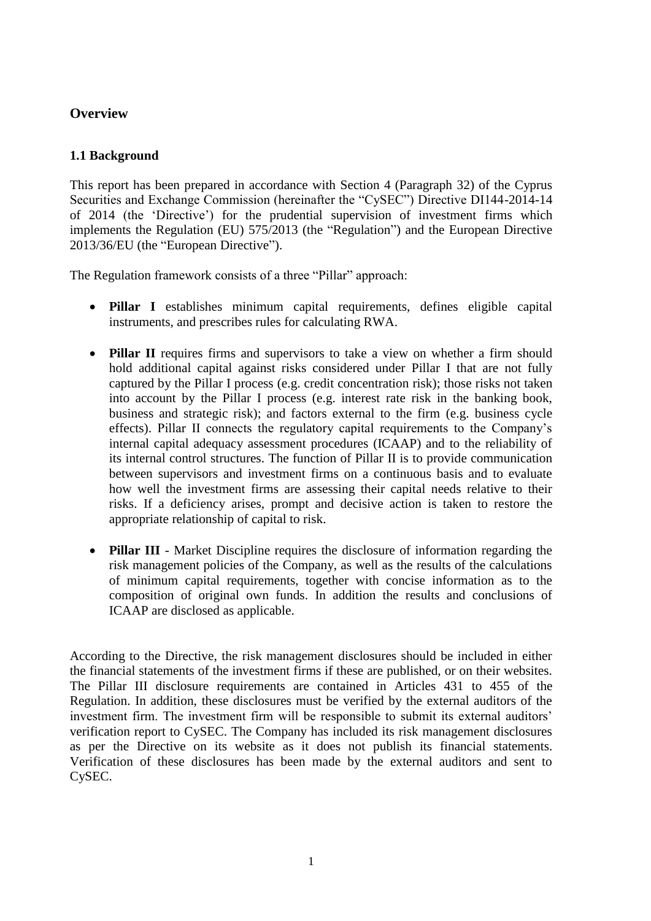## <span id="page-3-1"></span><span id="page-3-0"></span>**Overview**

## **1.1 Background**

This report has been prepared in accordance with Section 4 (Paragraph 32) of the Cyprus Securities and Exchange Commission (hereinafter the "CySEC") Directive DI144-2014-14 of 2014 (the 'Directive') for the prudential supervision of investment firms which implements the Regulation (EU) 575/2013 (the "Regulation") and the European Directive 2013/36/EU (the "European Directive").

The Regulation framework consists of a three "Pillar" approach:

- **Pillar I** establishes minimum capital requirements, defines eligible capital instruments, and prescribes rules for calculating RWA.
- **Pillar II** requires firms and supervisors to take a view on whether a firm should hold additional capital against risks considered under Pillar I that are not fully captured by the Pillar I process (e.g. credit concentration risk); those risks not taken into account by the Pillar I process (e.g. interest rate risk in the banking book, business and strategic risk); and factors external to the firm (e.g. business cycle effects). Pillar II connects the regulatory capital requirements to the Company's internal capital adequacy assessment procedures (ICAAP) and to the reliability of its internal control structures. The function of Pillar II is to provide communication between supervisors and investment firms on a continuous basis and to evaluate how well the investment firms are assessing their capital needs relative to their risks. If a deficiency arises, prompt and decisive action is taken to restore the appropriate relationship of capital to risk.
- **Pillar III** Market Discipline requires the disclosure of information regarding the risk management policies of the Company, as well as the results of the calculations of minimum capital requirements, together with concise information as to the composition of original own funds. In addition the results and conclusions of ICAAP are disclosed as applicable.

According to the Directive, the risk management disclosures should be included in either the financial statements of the investment firms if these are published, or on their websites. The Pillar III disclosure requirements are contained in Articles 431 to 455 of the Regulation. In addition, these disclosures must be verified by the external auditors of the investment firm. The investment firm will be responsible to submit its external auditors' verification report to CySEC. The Company has included its risk management disclosures as per the Directive on its website as it does not publish its financial statements. Verification of these disclosures has been made by the external auditors and sent to CySEC.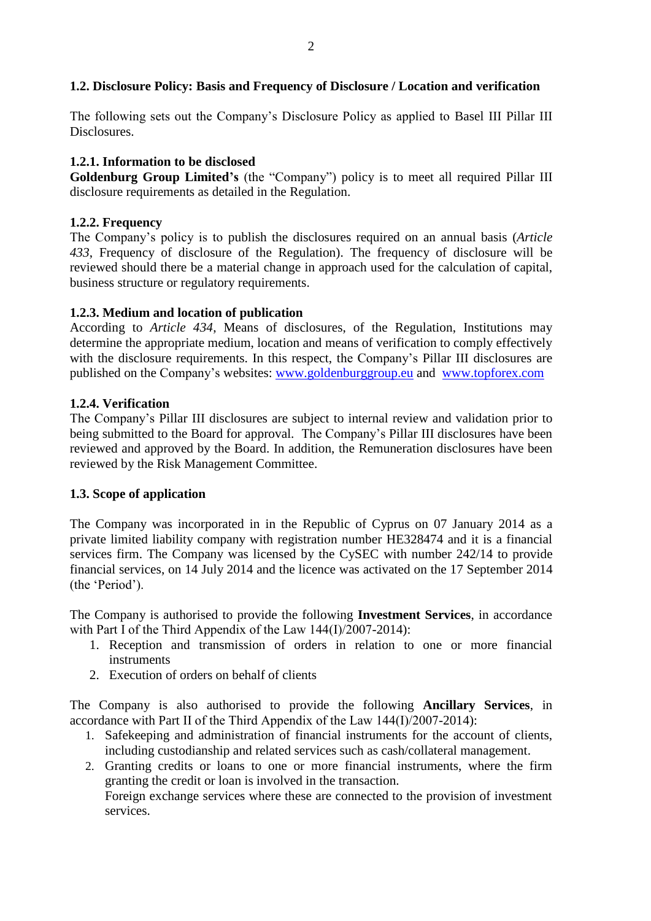## <span id="page-4-0"></span>**1.2. Disclosure Policy: Basis and Frequency of Disclosure / Location and verification**

The following sets out the Company's Disclosure Policy as applied to Basel III Pillar III Disclosures.

## <span id="page-4-1"></span>**1.2.1. Information to be disclosed**

**Goldenburg Group Limited's** (the "Company") policy is to meet all required Pillar III disclosure requirements as detailed in the Regulation.

## <span id="page-4-2"></span>**1.2.2. Frequency**

The Company's policy is to publish the disclosures required on an annual basis (*Article 433*, Frequency of disclosure of the Regulation). The frequency of disclosure will be reviewed should there be a material change in approach used for the calculation of capital, business structure or regulatory requirements.

## <span id="page-4-3"></span>**1.2.3. Medium and location of publication**

According to *Article 434*, Means of disclosures, of the Regulation, Institutions may determine the appropriate medium, location and means of verification to comply effectively with the disclosure requirements. In this respect, the Company's Pillar III disclosures are published on the Company's websites: [www.goldenburggroup.eu](http://www.goldenburggroup.eu/) and [www.topforex.com](http://www.topforex.com/)

#### <span id="page-4-4"></span>**1.2.4. Verification**

The Company's Pillar III disclosures are subject to internal review and validation prior to being submitted to the Board for approval. The Company's Pillar III disclosures have been reviewed and approved by the Board. In addition, the Remuneration disclosures have been reviewed by the Risk Management Committee.

#### <span id="page-4-5"></span>**1.3. Scope of application**

The Company was incorporated in in the Republic of Cyprus on 07 January 2014 as a private limited liability company with registration number HE328474 and it is a financial services firm. The Company was licensed by the CySEC with number 242/14 to provide financial services, on 14 July 2014 and the licence was activated on the 17 September 2014 (the 'Period').

The Company is authorised to provide the following **Investment Services**, in accordance with Part Ι of the Third Appendix of the Law 144(Ι)/2007-2014):

- 1. Reception and transmission of orders in relation to one or more financial instruments
- 2. Execution of orders on behalf of clients

The Company is also authorised to provide the following **Ancillary Services**, in accordance with Part ΙI of the Third Appendix of the Law 144(Ι)/2007-2014):

- 1. Safekeeping and administration of financial instruments for the account of clients, including custodianship and related services such as cash/collateral management.
- 2. Granting credits or loans to one or more financial instruments, where the firm granting the credit or loan is involved in the transaction. Foreign exchange services where these are connected to the provision of investment services.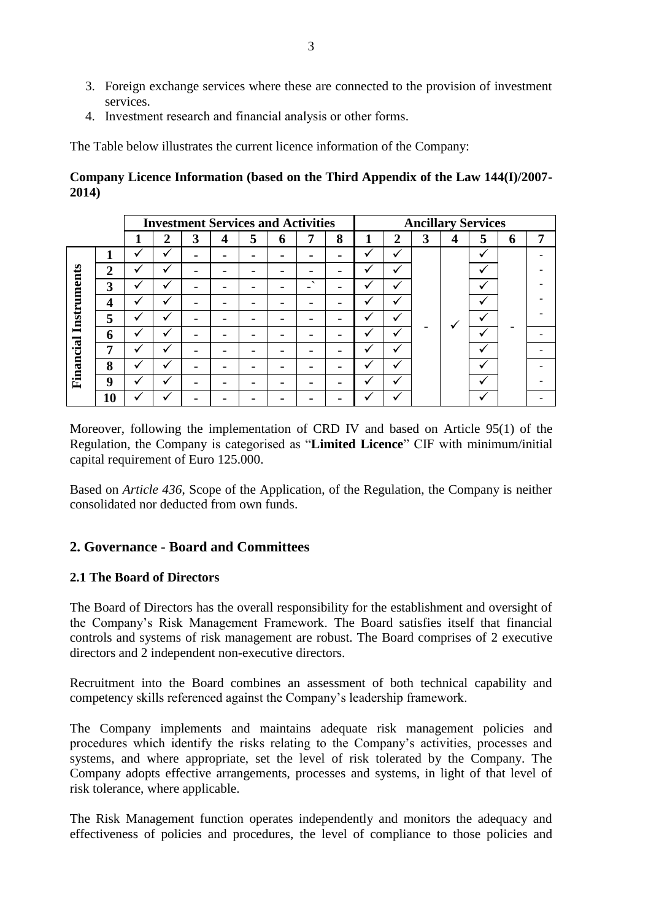- 3. Foreign exchange services where these are connected to the provision of investment services.
- 4. Ιnvestment research and financial analysis or other forms.

The Table below illustrates the current licence information of the Company:

## **Company Licence Information (based on the Third Appendix of the Law 144(I)/2007- 2014)**

|             |    | <b>Investment Services and Activities</b> |                |   |   |   |   |                          |   | <b>Ancillary Services</b> |                |   |                         |   |   |   |  |  |  |  |  |  |  |  |  |  |  |  |  |  |  |  |  |  |  |  |  |  |  |  |  |
|-------------|----|-------------------------------------------|----------------|---|---|---|---|--------------------------|---|---------------------------|----------------|---|-------------------------|---|---|---|--|--|--|--|--|--|--|--|--|--|--|--|--|--|--|--|--|--|--|--|--|--|--|--|--|
|             |    |                                           | $\overline{2}$ | 3 | 4 | 5 | 6 | 7                        | 8 | п                         | $\overline{2}$ | 3 | $\overline{\mathbf{4}}$ | 5 | 6 | 7 |  |  |  |  |  |  |  |  |  |  |  |  |  |  |  |  |  |  |  |  |  |  |  |  |  |
|             | ÷  | ✔                                         | J              |   |   |   |   |                          |   | $\checkmark$              | ✓              |   |                         | ◡ |   |   |  |  |  |  |  |  |  |  |  |  |  |  |  |  |  |  |  |  |  |  |  |  |  |  |  |
|             | 2  | $\overline{\phantom{a}}$                  |                |   |   |   |   |                          |   |                           |                |   |                         |   |   |   |  |  |  |  |  |  |  |  |  |  |  |  |  |  |  |  |  |  |  |  |  |  |  |  |  |
|             | 3  | ✔                                         |                |   |   |   |   | $\overline{\phantom{0}}$ |   | ✓                         |                |   |                         |   |   |   |  |  |  |  |  |  |  |  |  |  |  |  |  |  |  |  |  |  |  |  |  |  |  |  |  |
|             | 4  | ✔                                         |                |   |   |   |   |                          |   | $\checkmark$              | √              |   |                         |   |   |   |  |  |  |  |  |  |  |  |  |  |  |  |  |  |  |  |  |  |  |  |  |  |  |  |  |
| Instruments | 5  | $\checkmark$                              |                |   |   |   |   |                          |   | ✔                         | $\checkmark$   |   |                         |   |   |   |  |  |  |  |  |  |  |  |  |  |  |  |  |  |  |  |  |  |  |  |  |  |  |  |  |
|             | 6  | ✔                                         |                |   |   |   |   |                          |   | $\cdot$                   | $\checkmark$   |   |                         | v |   |   |  |  |  |  |  |  |  |  |  |  |  |  |  |  |  |  |  |  |  |  |  |  |  |  |  |
| Financial   | 7  | v                                         |                |   |   |   |   |                          |   | ✓                         | ✓              |   |                         |   |   |   |  |  |  |  |  |  |  |  |  |  |  |  |  |  |  |  |  |  |  |  |  |  |  |  |  |
|             | 8  | $\overline{\phantom{a}}$                  |                |   |   |   |   |                          |   |                           |                |   |                         |   |   |   |  |  |  |  |  |  |  |  |  |  |  |  |  |  |  |  |  |  |  |  |  |  |  |  |  |
|             | 9  | v                                         |                |   |   |   |   |                          |   |                           |                |   |                         |   |   |   |  |  |  |  |  |  |  |  |  |  |  |  |  |  |  |  |  |  |  |  |  |  |  |  |  |
|             | 10 |                                           |                |   |   |   |   |                          |   |                           |                |   |                         |   |   |   |  |  |  |  |  |  |  |  |  |  |  |  |  |  |  |  |  |  |  |  |  |  |  |  |  |

Moreover, following the implementation of CRD IV and based on Article 95(1) of the Regulation, the Company is categorised as "**Limited Licence**" CIF with minimum/initial capital requirement of Euro 125.000.

Based on *Article 436*, Scope of the Application, of the Regulation, the Company is neither consolidated nor deducted from own funds.

## <span id="page-5-0"></span>**2. Governance - Board and Committees**

## <span id="page-5-1"></span>**2.1 The Board of Directors**

The Board of Directors has the overall responsibility for the establishment and oversight of the Company's Risk Management Framework. The Board satisfies itself that financial controls and systems of risk management are robust. The Board comprises of 2 executive directors and 2 independent non-executive directors.

Recruitment into the Board combines an assessment of both technical capability and competency skills referenced against the Company's leadership framework.

The Company implements and maintains adequate risk management policies and procedures which identify the risks relating to the Company's activities, processes and systems, and where appropriate, set the level of risk tolerated by the Company. The Company adopts effective arrangements, processes and systems, in light of that level of risk tolerance, where applicable.

The Risk Management function operates independently and monitors the adequacy and effectiveness of policies and procedures, the level of compliance to those policies and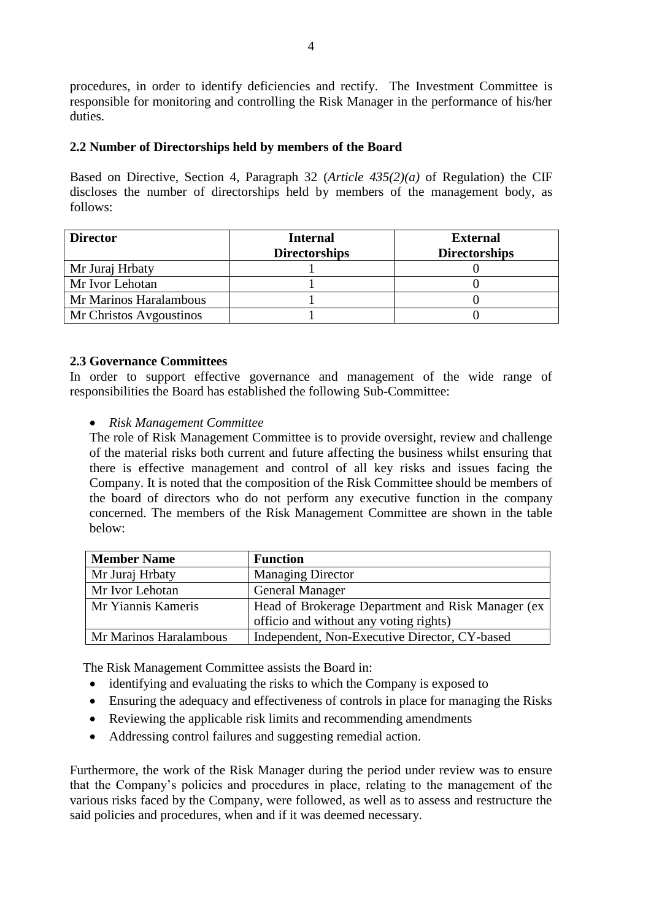procedures, in order to identify deficiencies and rectify. The Investment Committee is responsible for monitoring and controlling the Risk Manager in the performance of his/her duties.

## <span id="page-6-0"></span>**2.2 Number of Directorships held by members of the Board**

Based on Directive, Section 4, Paragraph 32 (*Article 435(2)(a)* of Regulation) the CIF discloses the number of directorships held by members of the management body, as follows:

| <b>Director</b>         | <b>Internal</b><br><b>Directorships</b> | External<br><b>Directorships</b> |  |  |
|-------------------------|-----------------------------------------|----------------------------------|--|--|
| Mr Juraj Hrbaty         |                                         |                                  |  |  |
| Mr Ivor Lehotan         |                                         |                                  |  |  |
| Mr Marinos Haralambous  |                                         |                                  |  |  |
| Mr Christos Avgoustinos |                                         |                                  |  |  |

#### <span id="page-6-1"></span>**2.3 Governance Committees**

In order to support effective governance and management of the wide range of responsibilities the Board has established the following Sub-Committee:

#### *Risk Management Committee*

The role of Risk Management Committee is to provide oversight, review and challenge of the material risks both current and future affecting the business whilst ensuring that there is effective management and control of all key risks and issues facing the Company. It is noted that the composition of the Risk Committee should be members of the board of directors who do not perform any executive function in the company concerned. The members of the Risk Management Committee are shown in the table below:

| <b>Member Name</b>     | <b>Function</b>                                   |
|------------------------|---------------------------------------------------|
| Mr Juraj Hrbaty        | <b>Managing Director</b>                          |
| Mr Ivor Lehotan        | <b>General Manager</b>                            |
| Mr Yiannis Kameris     | Head of Brokerage Department and Risk Manager (ex |
|                        | officio and without any voting rights)            |
| Mr Marinos Haralambous | Independent, Non-Executive Director, CY-based     |

The Risk Management Committee assists the Board in:

- identifying and evaluating the risks to which the Company is exposed to
- Ensuring the adequacy and effectiveness of controls in place for managing the Risks
- Reviewing the applicable risk limits and recommending amendments
- Addressing control failures and suggesting remedial action.

Furthermore, the work of the Risk Manager during the period under review was to ensure that the Company's policies and procedures in place, relating to the management of the various risks faced by the Company, were followed, as well as to assess and restructure the said policies and procedures, when and if it was deemed necessary.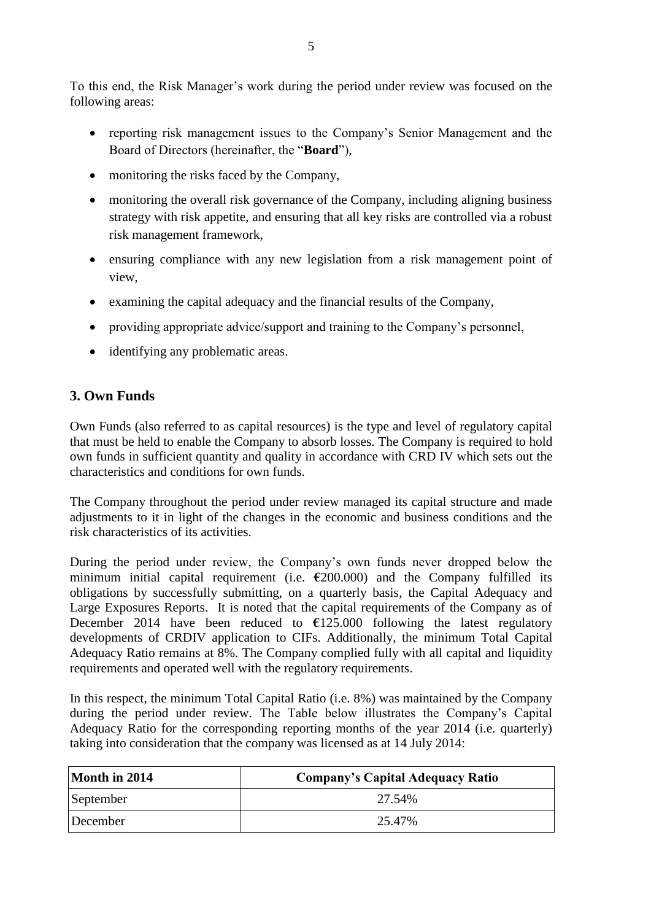To this end, the Risk Manager's work during the period under review was focused on the following areas:

- reporting risk management issues to the Company's Senior Management and the Board of Directors (hereinafter, the "**Board**"),
- monitoring the risks faced by the Company,
- monitoring the overall risk governance of the Company, including aligning business strategy with risk appetite, and ensuring that all key risks are controlled via a robust risk management framework,
- ensuring compliance with any new legislation from a risk management point of view,
- examining the capital adequacy and the financial results of the Company,
- providing appropriate advice/support and training to the Company's personnel,
- identifying any problematic areas.

## <span id="page-7-0"></span>**3. Own Funds**

Own Funds (also referred to as capital resources) is the type and level of regulatory capital that must be held to enable the Company to absorb losses. The Company is required to hold own funds in sufficient quantity and quality in accordance with CRD IV which sets out the characteristics and conditions for own funds.

The Company throughout the period under review managed its capital structure and made adjustments to it in light of the changes in the economic and business conditions and the risk characteristics of its activities.

During the period under review, the Company's own funds never dropped below the minimum initial capital requirement (i.e. **€**200.000) and the Company fulfilled its obligations by successfully submitting, on a quarterly basis, the Capital Adequacy and Large Exposures Reports. It is noted that the capital requirements of the Company as of December 2014 have been reduced to  $\epsilon$ 125.000 following the latest regulatory developments of CRDIV application to CIFs. Additionally, the minimum Total Capital Adequacy Ratio remains at 8%. The Company complied fully with all capital and liquidity requirements and operated well with the regulatory requirements.

In this respect, the minimum Total Capital Ratio (i.e. 8%) was maintained by the Company during the period under review. The Table below illustrates the Company's Capital Adequacy Ratio for the corresponding reporting months of the year 2014 (i.e. quarterly) taking into consideration that the company was licensed as at 14 July 2014:

| Month in 2014 | <b>Company's Capital Adequacy Ratio</b> |
|---------------|-----------------------------------------|
| September     | 27.54%                                  |
| December      | 25.47%                                  |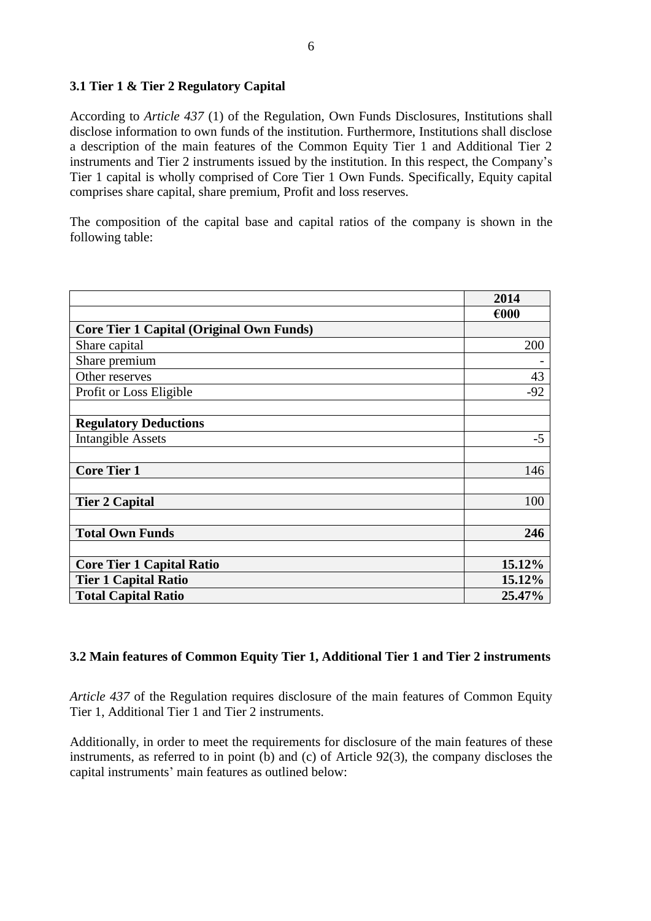## <span id="page-8-0"></span>**3.1 Tier 1 & Tier 2 Regulatory Capital**

According to *Article 437* (1) of the Regulation, Own Funds Disclosures, Institutions shall disclose information to own funds of the institution. Furthermore, Institutions shall disclose a description of the main features of the Common Equity Tier 1 and Additional Tier 2 instruments and Tier 2 instruments issued by the institution. In this respect, the Company's Tier 1 capital is wholly comprised of Core Tier 1 Own Funds. Specifically, Equity capital comprises share capital, share premium, Profit and loss reserves.

The composition of the capital base and capital ratios of the company is shown in the following table:

|                                                 | 2014   |
|-------------------------------------------------|--------|
|                                                 | €000   |
| <b>Core Tier 1 Capital (Original Own Funds)</b> |        |
| Share capital                                   | 200    |
| Share premium                                   |        |
| Other reserves                                  | 43     |
| Profit or Loss Eligible                         | $-92$  |
|                                                 |        |
| <b>Regulatory Deductions</b>                    |        |
| <b>Intangible Assets</b>                        | $-5$   |
|                                                 |        |
| <b>Core Tier 1</b>                              | 146    |
|                                                 |        |
| <b>Tier 2 Capital</b>                           | 100    |
|                                                 |        |
| <b>Total Own Funds</b>                          | 246    |
|                                                 |        |
| <b>Core Tier 1 Capital Ratio</b>                | 15.12% |
| <b>Tier 1 Capital Ratio</b>                     | 15.12% |
| <b>Total Capital Ratio</b>                      | 25.47% |

## <span id="page-8-1"></span>**3.2 Main features of Common Equity Tier 1, Additional Tier 1 and Tier 2 instruments**

*Article 437* of the Regulation requires disclosure of the main features of Common Equity Tier 1, Additional Tier 1 and Tier 2 instruments.

Additionally, in order to meet the requirements for disclosure of the main features of these instruments, as referred to in point (b) and (c) of Article 92(3), the company discloses the capital instruments' main features as outlined below: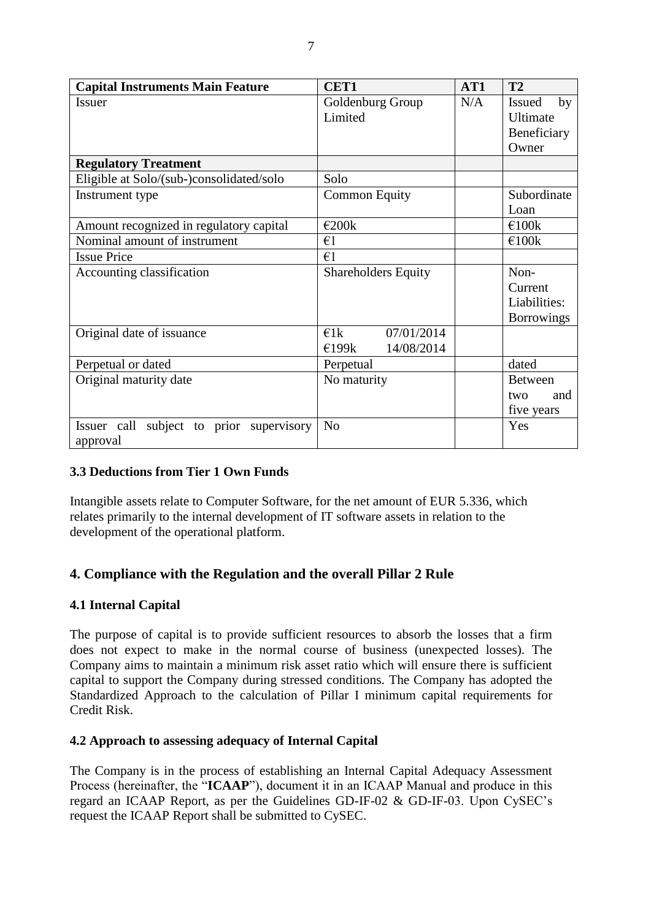| <b>Capital Instruments Main Feature</b>     | <b>CET1</b>                 | AT1 | <b>T2</b>           |
|---------------------------------------------|-----------------------------|-----|---------------------|
| <b>Issuer</b>                               | Goldenburg Group            | N/A | by<br><b>Issued</b> |
|                                             | Limited                     |     | Ultimate            |
|                                             |                             |     | Beneficiary         |
|                                             |                             |     | Owner               |
| <b>Regulatory Treatment</b>                 |                             |     |                     |
| Eligible at Solo/(sub-)consolidated/solo    | Solo                        |     |                     |
| Instrument type                             | <b>Common Equity</b>        |     | Subordinate         |
|                                             |                             |     | Loan                |
| Amount recognized in regulatory capital     | €200k                       |     | €100 $k$            |
| Nominal amount of instrument                | $\epsilon$ 1                |     | €100k               |
| <b>Issue Price</b>                          | $\epsilon$ 1                |     |                     |
| Accounting classification                   | <b>Shareholders Equity</b>  |     | Non-                |
|                                             |                             |     | Current             |
|                                             |                             |     | Liabilities:        |
|                                             |                             |     | <b>Borrowings</b>   |
| Original date of issuance                   | 07/01/2014<br>$\epsilon$ 1k |     |                     |
|                                             | 14/08/2014<br>£199k         |     |                     |
| Perpetual or dated                          | Perpetual                   |     | dated               |
| Original maturity date                      | No maturity                 |     | <b>Between</b>      |
|                                             |                             |     | and<br>two          |
|                                             |                             |     | five years          |
| subject to prior supervisory<br>Issuer call | N <sub>o</sub>              |     | Yes                 |
| approval                                    |                             |     |                     |

## <span id="page-9-0"></span>**3.3 Deductions from Tier 1 Own Funds**

Intangible assets relate to Computer Software, for the net amount of EUR 5.336, which relates primarily to the internal development of IT software assets in relation to the development of the operational platform.

## <span id="page-9-1"></span>**4. Compliance with the Regulation and the overall Pillar 2 Rule**

#### <span id="page-9-2"></span>**4.1 Internal Capital**

The purpose of capital is to provide sufficient resources to absorb the losses that a firm does not expect to make in the normal course of business (unexpected losses). The Company aims to maintain a minimum risk asset ratio which will ensure there is sufficient capital to support the Company during stressed conditions. The Company has adopted the Standardized Approach to the calculation of Pillar I minimum capital requirements for Credit Risk.

#### <span id="page-9-3"></span>**4.2 Approach to assessing adequacy of Internal Capital**

The Company is in the process of establishing an Internal Capital Adequacy Assessment Process (hereinafter, the "**ICAAP**"), document it in an ICAAP Manual and produce in this regard an ICAAP Report, as per the Guidelines GD-IF-02 & GD-IF-03. Upon CySEC's request the ICAAP Report shall be submitted to CySEC.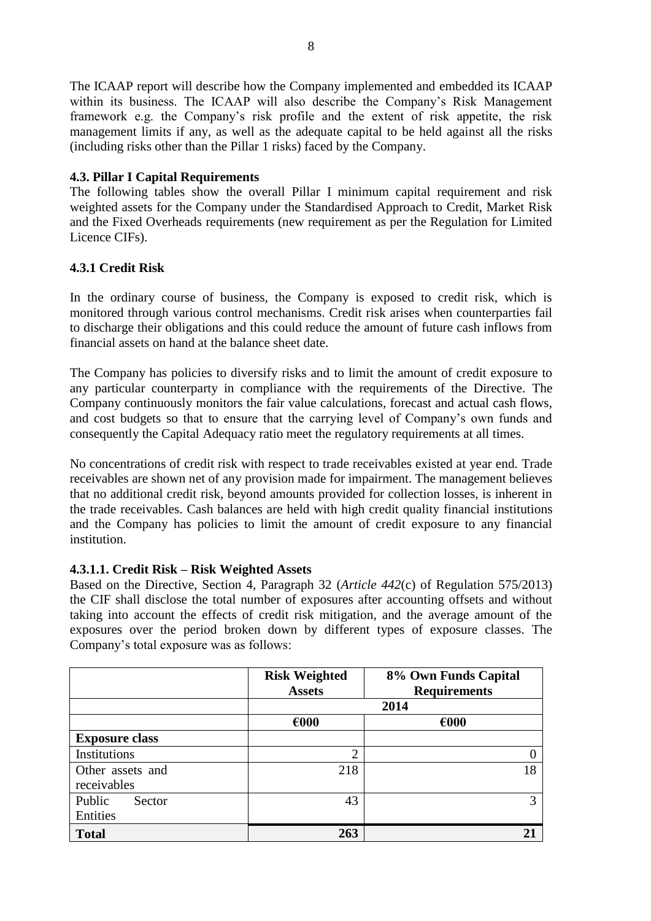The ICAAP report will describe how the Company implemented and embedded its ICAAP within its business. The ICAAP will also describe the Company's Risk Management framework e.g. the Company's risk profile and the extent of risk appetite, the risk management limits if any, as well as the adequate capital to be held against all the risks (including risks other than the Pillar 1 risks) faced by the Company.

## <span id="page-10-0"></span>**4.3. Pillar I Capital Requirements**

The following tables show the overall Pillar I minimum capital requirement and risk weighted assets for the Company under the Standardised Approach to Credit, Market Risk and the Fixed Overheads requirements (new requirement as per the Regulation for Limited Licence CIFs).

## <span id="page-10-1"></span>**4.3.1 Credit Risk**

In the ordinary course of business, the Company is exposed to credit risk, which is monitored through various control mechanisms. Credit risk arises when counterparties fail to discharge their obligations and this could reduce the amount of future cash inflows from financial assets on hand at the balance sheet date.

The Company has policies to diversify risks and to limit the amount of credit exposure to any particular counterparty in compliance with the requirements of the Directive. The Company continuously monitors the fair value calculations, forecast and actual cash flows, and cost budgets so that to ensure that the carrying level of Company's own funds and consequently the Capital Adequacy ratio meet the regulatory requirements at all times.

No concentrations of credit risk with respect to trade receivables existed at year end. Trade receivables are shown net of any provision made for impairment. The management believes that no additional credit risk, beyond amounts provided for collection losses, is inherent in the trade receivables. Cash balances are held with high credit quality financial institutions and the Company has policies to limit the amount of credit exposure to any financial institution.

## **4.3.1.1. Credit Risk – Risk Weighted Assets**

Based on the Directive, Section 4, Paragraph 32 (*Article 442*(c) of Regulation 575/2013) the CIF shall disclose the total number of exposures after accounting offsets and without taking into account the effects of credit risk mitigation, and the average amount of the exposures over the period broken down by different types of exposure classes. The Company's total exposure was as follows:

|                       | <b>Risk Weighted</b><br>8% Own Funds Capital<br><b>Requirements</b><br><b>Assets</b> |                |  |
|-----------------------|--------------------------------------------------------------------------------------|----------------|--|
|                       |                                                                                      | 2014           |  |
|                       | $\epsilon$ 000                                                                       | $\epsilon$ 000 |  |
| <b>Exposure class</b> |                                                                                      |                |  |
| Institutions          | ി                                                                                    |                |  |
| Other assets and      | 218                                                                                  | 18             |  |
| receivables           |                                                                                      |                |  |
| Public<br>Sector      | 43                                                                                   | 3              |  |
| Entities              |                                                                                      |                |  |
| <b>Total</b>          | 263                                                                                  |                |  |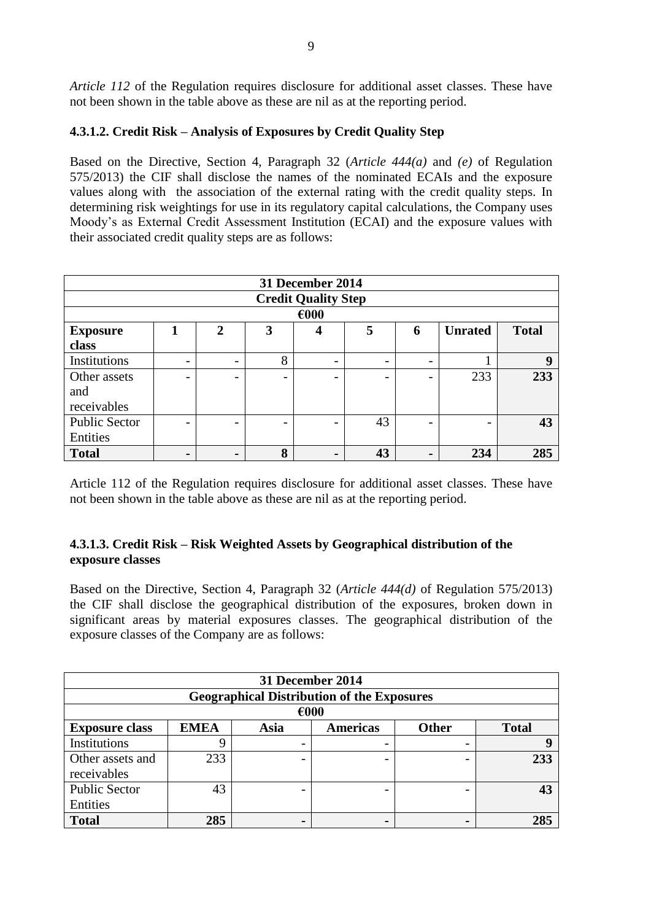*Article 112* of the Regulation requires disclosure for additional asset classes. These have not been shown in the table above as these are nil as at the reporting period.

## <span id="page-11-0"></span>**4.3.1.2. Credit Risk – Analysis of Exposures by Credit Quality Step**

Based on the Directive, Section 4, Paragraph 32 (*Article 444(a)* and *(e)* of Regulation 575/2013) the CIF shall disclose the names of the nominated ECAIs and the exposure values along with the association of the external rating with the credit quality steps. In determining risk weightings for use in its regulatory capital calculations, the Company uses Moody's as External Credit Assessment Institution (ECAI) and the exposure values with their associated credit quality steps are as follows:

| 31 December 2014           |                                                                                   |                          |                          |                          |    |                          |     |     |  |
|----------------------------|-----------------------------------------------------------------------------------|--------------------------|--------------------------|--------------------------|----|--------------------------|-----|-----|--|
| <b>Credit Quality Step</b> |                                                                                   |                          |                          |                          |    |                          |     |     |  |
| $\epsilon$ 000             |                                                                                   |                          |                          |                          |    |                          |     |     |  |
| <b>Exposure</b>            | 5<br><b>Total</b><br><b>Unrated</b><br>$\mathbf{2}$<br>3<br>6<br>$\boldsymbol{4}$ |                          |                          |                          |    |                          |     |     |  |
| class                      |                                                                                   |                          |                          |                          |    |                          |     |     |  |
| Institutions               | $\overline{\phantom{0}}$                                                          | $\overline{\phantom{0}}$ | 8                        |                          |    |                          |     | 9   |  |
| Other assets               |                                                                                   | -                        | $\overline{\phantom{0}}$ | $\overline{\phantom{0}}$ |    | $\overline{\phantom{0}}$ | 233 | 233 |  |
| and                        |                                                                                   |                          |                          |                          |    |                          |     |     |  |
| receivables                |                                                                                   |                          |                          |                          |    |                          |     |     |  |
| <b>Public Sector</b>       | -                                                                                 | -                        |                          | $\overline{\phantom{0}}$ | 43 | $\overline{\phantom{0}}$ |     | 43  |  |
| Entities                   |                                                                                   |                          |                          |                          |    |                          |     |     |  |
| <b>Total</b>               | $\blacksquare$                                                                    |                          | 8                        |                          | 43 | $\blacksquare$           | 234 | 285 |  |

Article 112 of the Regulation requires disclosure for additional asset classes. These have not been shown in the table above as these are nil as at the reporting period.

## <span id="page-11-1"></span>**4.3.1.3. Credit Risk – Risk Weighted Assets by Geographical distribution of the exposure classes**

Based on the Directive, Section 4, Paragraph 32 (*Article 444(d)* of Regulation 575/2013) the CIF shall disclose the geographical distribution of the exposures, broken down in significant areas by material exposures classes. The geographical distribution of the exposure classes of the Company are as follows:

| 31 December 2014                                                                                |                |  |  |  |     |  |  |  |  |
|-------------------------------------------------------------------------------------------------|----------------|--|--|--|-----|--|--|--|--|
| <b>Geographical Distribution of the Exposures</b>                                               |                |  |  |  |     |  |  |  |  |
|                                                                                                 | $\epsilon$ 000 |  |  |  |     |  |  |  |  |
| <b>EMEA</b><br><b>Other</b><br><b>Total</b><br><b>Exposure class</b><br><b>Americas</b><br>Asia |                |  |  |  |     |  |  |  |  |
| Institutions                                                                                    |                |  |  |  |     |  |  |  |  |
| Other assets and                                                                                | 233            |  |  |  | 233 |  |  |  |  |
| receivables                                                                                     |                |  |  |  |     |  |  |  |  |
| <b>Public Sector</b>                                                                            | 43             |  |  |  | 43  |  |  |  |  |
| Entities                                                                                        |                |  |  |  |     |  |  |  |  |
| <b>Total</b>                                                                                    | 285            |  |  |  | 285 |  |  |  |  |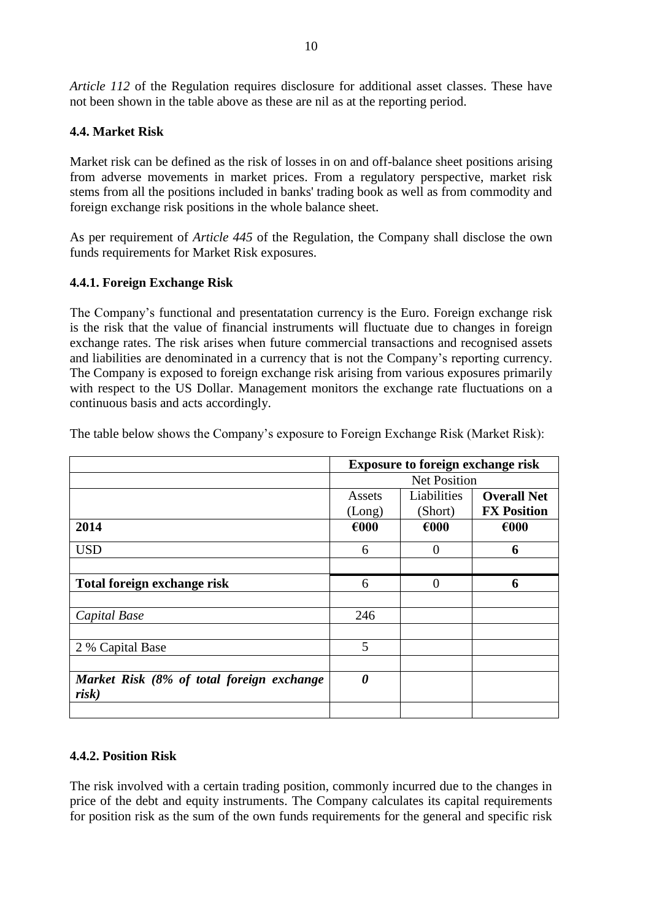*Article 112* of the Regulation requires disclosure for additional asset classes. These have not been shown in the table above as these are nil as at the reporting period.

## <span id="page-12-0"></span>**4.4. Market Risk**

Market risk can be defined as the risk of losses in on and off-balance sheet positions arising from adverse movements in market prices. From a regulatory perspective, market risk stems from all the positions included in banks' trading book as well as from commodity and foreign exchange risk positions in the whole balance sheet.

As per requirement of *Article 445* of the Regulation, the Company shall disclose the own funds requirements for Market Risk exposures.

## <span id="page-12-1"></span>**4.4.1. Foreign Exchange Risk**

The Company's functional and presentatation currency is the Euro. Foreign exchange risk is the risk that the value of financial instruments will fluctuate due to changes in foreign exchange rates. The risk arises when future commercial transactions and recognised assets and liabilities are denominated in a currency that is not the Company's reporting currency. The Company is exposed to foreign exchange risk arising from various exposures primarily with respect to the US Dollar. Management monitors the exchange rate fluctuations on a continuous basis and acts accordingly.

|                                                    | <b>Exposure to foreign exchange risk</b> |             |                    |  |  |  |  |
|----------------------------------------------------|------------------------------------------|-------------|--------------------|--|--|--|--|
|                                                    | <b>Net Position</b>                      |             |                    |  |  |  |  |
|                                                    | Assets                                   | Liabilities | <b>Overall Net</b> |  |  |  |  |
|                                                    | (Long)                                   | (Short)     | <b>FX Position</b> |  |  |  |  |
| 2014                                               | €000                                     | €000        | $\epsilon$ 000     |  |  |  |  |
| <b>USD</b>                                         | 6                                        | 0           | 6                  |  |  |  |  |
|                                                    |                                          |             |                    |  |  |  |  |
| Total foreign exchange risk                        | 6                                        | $\theta$    | 6                  |  |  |  |  |
|                                                    |                                          |             |                    |  |  |  |  |
| Capital Base                                       | 246                                      |             |                    |  |  |  |  |
|                                                    |                                          |             |                    |  |  |  |  |
| 2 % Capital Base                                   | 5                                        |             |                    |  |  |  |  |
|                                                    |                                          |             |                    |  |  |  |  |
| Market Risk (8% of total foreign exchange<br>risk) | 0                                        |             |                    |  |  |  |  |
|                                                    |                                          |             |                    |  |  |  |  |

The table below shows the Company's exposure to Foreign Exchange Risk (Market Risk):

## <span id="page-12-2"></span>**4.4.2. Position Risk**

The risk involved with a certain trading position, commonly incurred due to the changes in price of the debt and equity instruments. The Company calculates its capital requirements for position risk as the sum of the own funds requirements for the general and specific risk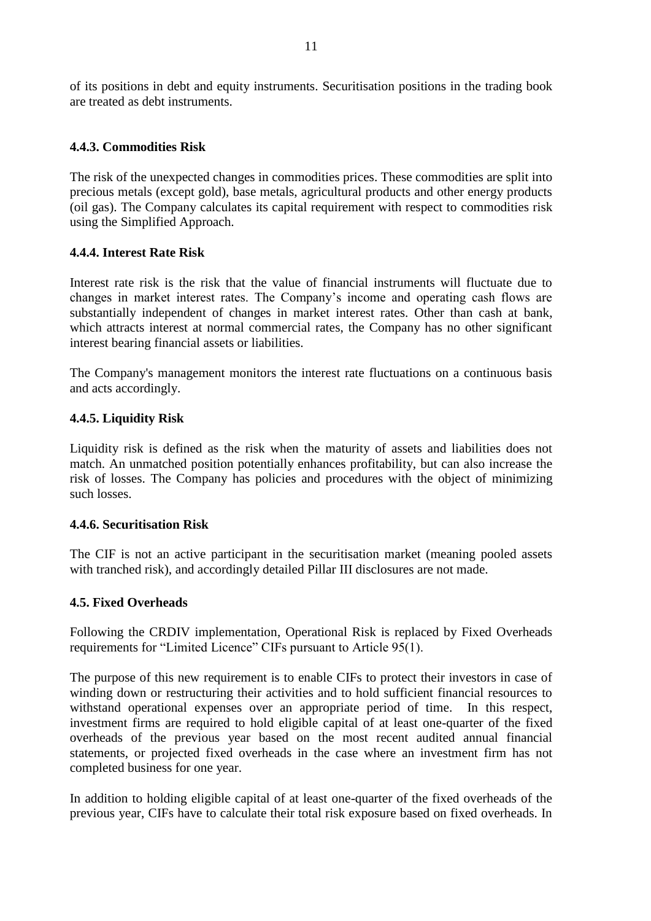of its positions in debt and equity instruments. Securitisation positions in the trading book are treated as debt instruments.

## <span id="page-13-0"></span>**4.4.3. Commodities Risk**

The risk of the unexpected changes in commodities prices. These commodities are split into precious metals (except gold), base metals, agricultural products and other energy products (oil gas). The Company calculates its capital requirement with respect to commodities risk using the Simplified Approach.

#### <span id="page-13-1"></span>**4.4.4. Interest Rate Risk**

Interest rate risk is the risk that the value of financial instruments will fluctuate due to changes in market interest rates. The Company's income and operating cash flows are substantially independent of changes in market interest rates. Other than cash at bank, which attracts interest at normal commercial rates, the Company has no other significant interest bearing financial assets or liabilities.

The Company's management monitors the interest rate fluctuations on a continuous basis and acts accordingly.

## <span id="page-13-2"></span>**4.4.5. Liquidity Risk**

Liquidity risk is defined as the risk when the maturity of assets and liabilities does not match. An unmatched position potentially enhances profitability, but can also increase the risk of losses. The Company has policies and procedures with the object of minimizing such losses.

#### <span id="page-13-3"></span>**4.4.6. Securitisation Risk**

The CIF is not an active participant in the securitisation market (meaning pooled assets with tranched risk), and accordingly detailed Pillar III disclosures are not made.

#### <span id="page-13-4"></span>**4.5. Fixed Overheads**

Following the CRDIV implementation, Operational Risk is replaced by Fixed Overheads requirements for "Limited Licence" CIFs pursuant to Article 95(1).

The purpose of this new requirement is to enable CIFs to protect their investors in case of winding down or restructuring their activities and to hold sufficient financial resources to withstand operational expenses over an appropriate period of time. In this respect, investment firms are required to hold eligible capital of at least one-quarter of the fixed overheads of the previous year based on the most recent audited annual financial statements, or projected fixed overheads in the case where an investment firm has not completed business for one year.

In addition to holding eligible capital of at least one-quarter of the fixed overheads of the previous year, CIFs have to calculate their total risk exposure based on fixed overheads. In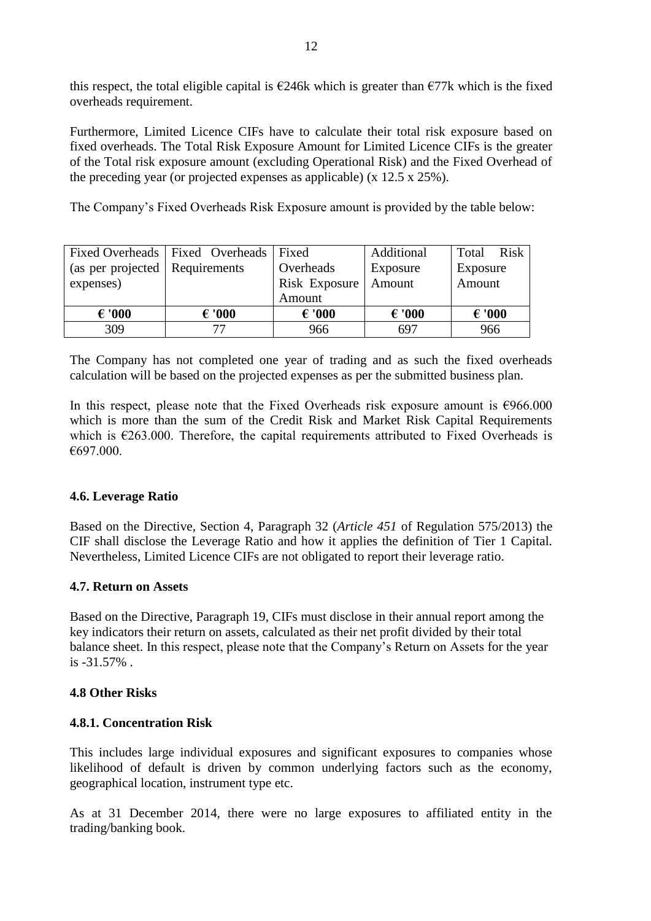this respect, the total eligible capital is  $\epsilon$ 246k which is greater than  $\epsilon$ 77k which is the fixed overheads requirement.

Furthermore, Limited Licence CIFs have to calculate their total risk exposure based on fixed overheads. The Total Risk Exposure Amount for Limited Licence CIFs is the greater of the Total risk exposure amount (excluding Operational Risk) and the Fixed Overhead of the preceding year (or projected expenses as applicable) (x 12.5 x 25%).

The Company's Fixed Overheads Risk Exposure amount is provided by the table below:

|                                  | Fixed Overheads   Fixed Overheads   Fixed |                 | Additional      | Total Risk      |  |
|----------------------------------|-------------------------------------------|-----------------|-----------------|-----------------|--|
| (as per projected   Requirements |                                           | Overheads       | Exposure        | Exposure        |  |
| expenses)                        |                                           | Risk Exposure   | Amount          | Amount          |  |
|                                  |                                           | Amount          |                 |                 |  |
| $\epsilon$ '000                  | $\epsilon$ '000                           | $\epsilon$ '000 | $\epsilon$ '000 | $\epsilon$ '000 |  |
| 309                              | 77                                        | 966             | 697             | 966             |  |

The Company has not completed one year of trading and as such the fixed overheads calculation will be based on the projected expenses as per the submitted business plan.

In this respect, please note that the Fixed Overheads risk exposure amount is  $\epsilon$ 966.000 which is more than the sum of the Credit Risk and Market Risk Capital Requirements which is  $\epsilon$ 263.000. Therefore, the capital requirements attributed to Fixed Overheads is €697.000.

#### <span id="page-14-0"></span>**4.6. Leverage Ratio**

Based on the Directive, Section 4, Paragraph 32 (*Article 451* of Regulation 575/2013) the CIF shall disclose the Leverage Ratio and how it applies the definition of Tier 1 Capital. Nevertheless, Limited Licence CIFs are not obligated to report their leverage ratio.

#### <span id="page-14-1"></span>**4.7. Return on Assets**

Based on the Directive, Paragraph 19, CIFs must disclose in their annual report among the key indicators their return on assets, calculated as their net profit divided by their total balance sheet. In this respect, please note that the Company's Return on Assets for the year is -31.57% .

#### <span id="page-14-2"></span>**4.8 Other Risks**

#### <span id="page-14-3"></span>**4.8.1. Concentration Risk**

This includes large individual exposures and significant exposures to companies whose likelihood of default is driven by common underlying factors such as the economy, geographical location, instrument type etc.

As at 31 December 2014, there were no large exposures to affiliated entity in the trading/banking book.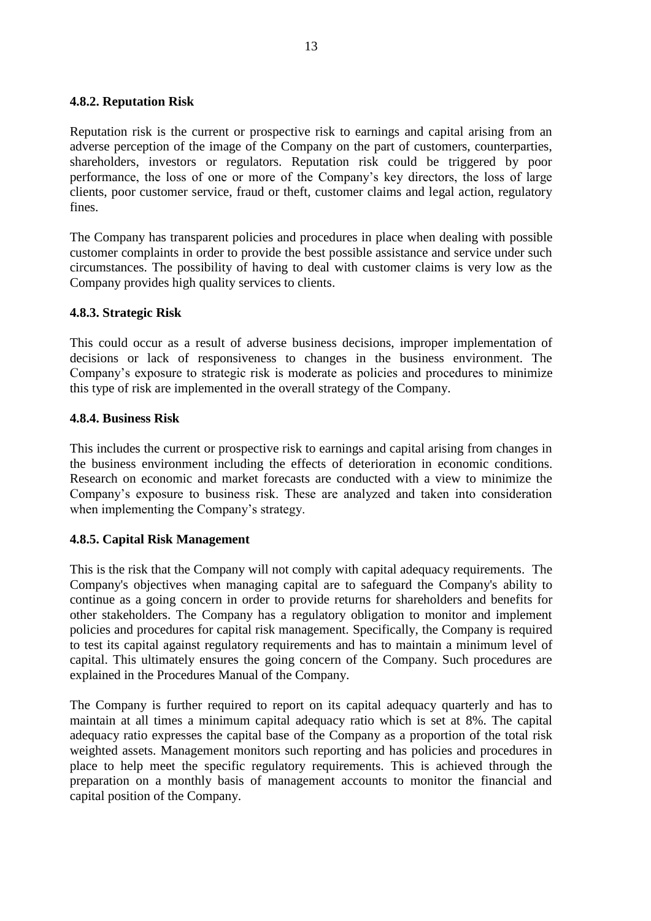#### <span id="page-15-0"></span>**4.8.2. Reputation Risk**

Reputation risk is the current or prospective risk to earnings and capital arising from an adverse perception of the image of the Company on the part of customers, counterparties, shareholders, investors or regulators. Reputation risk could be triggered by poor performance, the loss of one or more of the Company's key directors, the loss of large clients, poor customer service, fraud or theft, customer claims and legal action, regulatory fines.

The Company has transparent policies and procedures in place when dealing with possible customer complaints in order to provide the best possible assistance and service under such circumstances. The possibility of having to deal with customer claims is very low as the Company provides high quality services to clients.

#### <span id="page-15-1"></span>**4.8.3. Strategic Risk**

This could occur as a result of adverse business decisions, improper implementation of decisions or lack of responsiveness to changes in the business environment. The Company's exposure to strategic risk is moderate as policies and procedures to minimize this type of risk are implemented in the overall strategy of the Company.

#### <span id="page-15-2"></span>**4.8.4. Business Risk**

This includes the current or prospective risk to earnings and capital arising from changes in the business environment including the effects of deterioration in economic conditions. Research on economic and market forecasts are conducted with a view to minimize the Company's exposure to business risk. These are analyzed and taken into consideration when implementing the Company's strategy.

#### <span id="page-15-3"></span>**4.8.5. Capital Risk Management**

This is the risk that the Company will not comply with capital adequacy requirements. The Company's objectives when managing capital are to safeguard the Company's ability to continue as a going concern in order to provide returns for shareholders and benefits for other stakeholders. The Company has a regulatory obligation to monitor and implement policies and procedures for capital risk management. Specifically, the Company is required to test its capital against regulatory requirements and has to maintain a minimum level of capital. This ultimately ensures the going concern of the Company. Such procedures are explained in the Procedures Manual of the Company.

The Company is further required to report on its capital adequacy quarterly and has to maintain at all times a minimum capital adequacy ratio which is set at 8%. The capital adequacy ratio expresses the capital base of the Company as a proportion of the total risk weighted assets. Management monitors such reporting and has policies and procedures in place to help meet the specific regulatory requirements. This is achieved through the preparation on a monthly basis of management accounts to monitor the financial and capital position of the Company.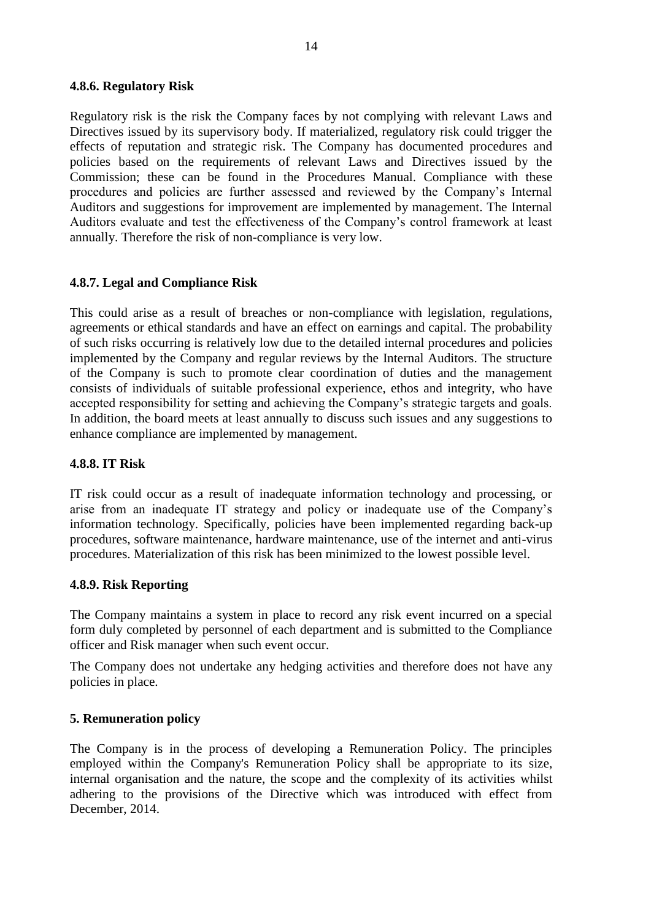#### <span id="page-16-0"></span>**4.8.6. Regulatory Risk**

Regulatory risk is the risk the Company faces by not complying with relevant Laws and Directives issued by its supervisory body. If materialized, regulatory risk could trigger the effects of reputation and strategic risk. The Company has documented procedures and policies based on the requirements of relevant Laws and Directives issued by the Commission; these can be found in the Procedures Manual. Compliance with these procedures and policies are further assessed and reviewed by the Company's Internal Auditors and suggestions for improvement are implemented by management. The Internal Auditors evaluate and test the effectiveness of the Company's control framework at least annually. Therefore the risk of non-compliance is very low.

#### <span id="page-16-1"></span>**4.8.7. Legal and Compliance Risk**

This could arise as a result of breaches or non-compliance with legislation, regulations, agreements or ethical standards and have an effect on earnings and capital. The probability of such risks occurring is relatively low due to the detailed internal procedures and policies implemented by the Company and regular reviews by the Internal Auditors. The structure of the Company is such to promote clear coordination of duties and the management consists of individuals of suitable professional experience, ethos and integrity, who have accepted responsibility for setting and achieving the Company's strategic targets and goals. In addition, the board meets at least annually to discuss such issues and any suggestions to enhance compliance are implemented by management.

#### <span id="page-16-2"></span>**4.8.8. IT Risk**

IT risk could occur as a result of inadequate information technology and processing, or arise from an inadequate IT strategy and policy or inadequate use of the Company's information technology. Specifically, policies have been implemented regarding back-up procedures, software maintenance, hardware maintenance, use of the internet and anti-virus procedures. Materialization of this risk has been minimized to the lowest possible level.

#### <span id="page-16-3"></span>**4.8.9. Risk Reporting**

The Company maintains a system in place to record any risk event incurred on a special form duly completed by personnel of each department and is submitted to the Compliance officer and Risk manager when such event occur.

The Company does not undertake any hedging activities and therefore does not have any policies in place.

#### <span id="page-16-4"></span>**5. Remuneration policy**

The Company is in the process of developing a Remuneration Policy. The principles employed within the Company's Remuneration Policy shall be appropriate to its size, internal organisation and the nature, the scope and the complexity of its activities whilst adhering to the provisions of the Directive which was introduced with effect from December, 2014.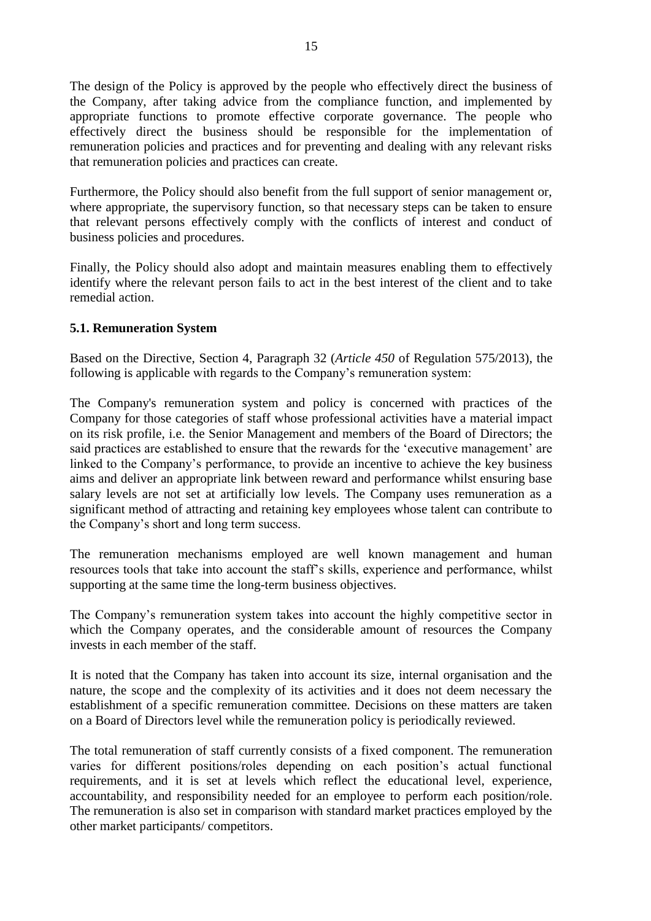The design of the Policy is approved by the people who effectively direct the business of the Company, after taking advice from the compliance function, and implemented by appropriate functions to promote effective corporate governance. The people who effectively direct the business should be responsible for the implementation of remuneration policies and practices and for preventing and dealing with any relevant risks that remuneration policies and practices can create.

Furthermore, the Policy should also benefit from the full support of senior management or, where appropriate, the supervisory function, so that necessary steps can be taken to ensure that relevant persons effectively comply with the conflicts of interest and conduct of business policies and procedures.

Finally, the Policy should also adopt and maintain measures enabling them to effectively identify where the relevant person fails to act in the best interest of the client and to take remedial action.

#### <span id="page-17-0"></span>**5.1. Remuneration System**

Based on the Directive, Section 4, Paragraph 32 (*Article 450* of Regulation 575/2013), the following is applicable with regards to the Company's remuneration system:

The Company's remuneration system and policy is concerned with practices of the Company for those categories of staff whose professional activities have a material impact on its risk profile, i.e. the Senior Management and members of the Board of Directors; the said practices are established to ensure that the rewards for the 'executive management' are linked to the Company's performance, to provide an incentive to achieve the key business aims and deliver an appropriate link between reward and performance whilst ensuring base salary levels are not set at artificially low levels. The Company uses remuneration as a significant method of attracting and retaining key employees whose talent can contribute to the Company's short and long term success.

The remuneration mechanisms employed are well known management and human resources tools that take into account the staff's skills, experience and performance, whilst supporting at the same time the long-term business objectives.

The Company's remuneration system takes into account the highly competitive sector in which the Company operates, and the considerable amount of resources the Company invests in each member of the staff.

It is noted that the Company has taken into account its size, internal organisation and the nature, the scope and the complexity of its activities and it does not deem necessary the establishment of a specific remuneration committee. Decisions on these matters are taken on a Board of Directors level while the remuneration policy is periodically reviewed.

The total remuneration of staff currently consists of a fixed component. The remuneration varies for different positions/roles depending on each position's actual functional requirements, and it is set at levels which reflect the educational level, experience, accountability, and responsibility needed for an employee to perform each position/role. The remuneration is also set in comparison with standard market practices employed by the other market participants/ competitors.